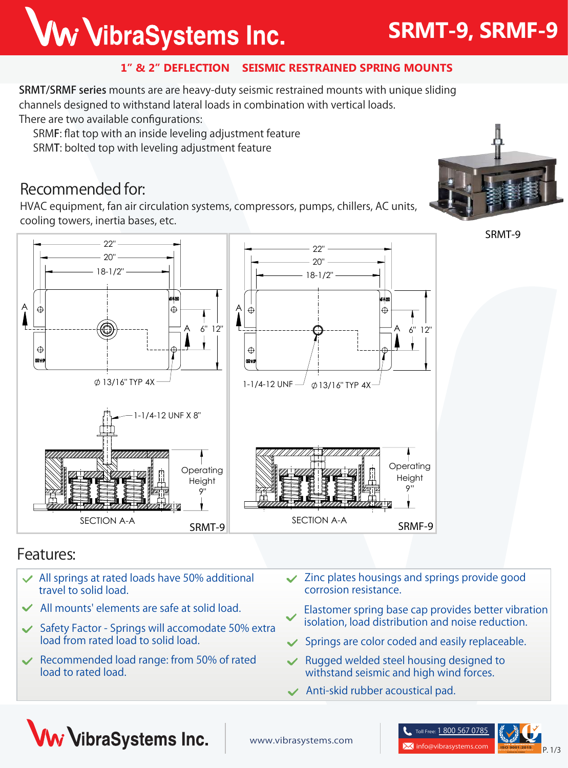# Ww VibraSystems Inc.

## **SRMT-9, SRMF-9**

#### **1" & 2" DEFLECTION SEISMIC RESTRAINED SPRING MOUNTS**

SRMT/SRMF series mounts are are heavy-duty seismic restrained mounts with unique sliding channels designed to withstand lateral loads in combination with vertical loads. There are two available configurations:

SRMF: flat top with an inside leveling adjustment feature

SRMT: bolted top with leveling adjustment feature

### **Recommended for:**

HVAC equipment, fan air circulation systems, compressors, pumps, chillers, AC units, cooling towers, inertia bases, etc.



**SRMT-9**



### **Features:**

- **All springs at rated loads have 50% additional travel to solid load.**
- **All mounts' elements are safe at solid load.**
- **Safety Factor Springs will accomodate 50% extra load from rated load to solid load.**
- **Recommended load range: from 50% of rated load to rated load.**
- **Zinc plates housings and springs provide good corrosion resistance.**
- **Elastomer spring base cap provides better vibration isolation, load distribution and noise reduction.**
- **Springs are color coded and easily replaceable.**
- **Rugged welded steel housing designed to withstand seismic and high wind forces.**
- **Anti-skid rubber acoustical pad.**



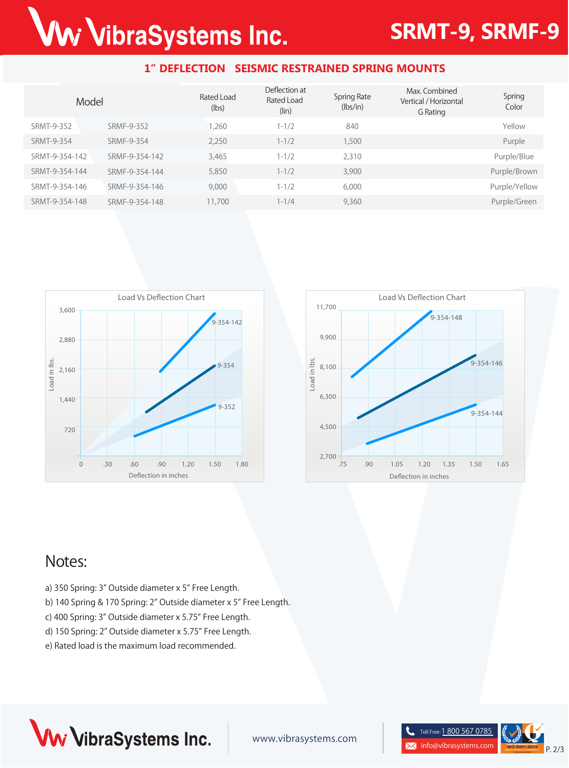# Ww VibraSystems Inc.

## **SRMT-9, SRMF-9**

#### **1" DEFLECTION SEISMIC RESTRAINED SPRING MOUNTS**

| Model          |                | Rated Load<br>(lbs) | Deflection at<br>Rated Load<br>$(\text{lin})$ | <b>Spring Rate</b><br>(lbs/in) | Max. Combined<br>Vertical / Horizontal<br>G Rating | Spring<br>Color |
|----------------|----------------|---------------------|-----------------------------------------------|--------------------------------|----------------------------------------------------|-----------------|
| SRMT-9-352     | SRMF-9-352     | .260                | $1 - 1/2$                                     | 840                            |                                                    | Yellow          |
| SRMT-9-354     | SRMF-9-354     | 2,250               | $1 - 1/2$                                     | 1,500                          |                                                    | Purple          |
| SRMT-9-354-142 | SRMF-9-354-142 | 3,465               | $1 - 1/2$                                     | 2,310                          |                                                    | Purple/Blue     |
| SRMT-9-354-144 | SRMF-9-354-144 | 5,850               | $1 - 1/2$                                     | 3,900                          |                                                    | Purple/Brown    |
| SRMT-9-354-146 | SRMF-9-354-146 | 9,000               | $1 - 1/2$                                     | 6,000                          |                                                    | Purple/Yellow   |
| SRMT-9-354-148 | SRMF-9-354-148 | 11,700              | $1 - 1/4$                                     | 9,360                          |                                                    | Purple/Green    |





### **Notes:**

- a) 350 Spring: 3" Outside diameter x 5" Free Length.
- b) 140 Spring & 170 Spring: 2" Outside diameter x 5" Free Length.
- c) 400 Spring: 3" Outside diameter x 5.75" Free Length.
- d) 150 Spring: 2" Outside diameter x 5.75" Free Length.
- e) Rated load is the maximum load recommended.



www.vibrasystems.com